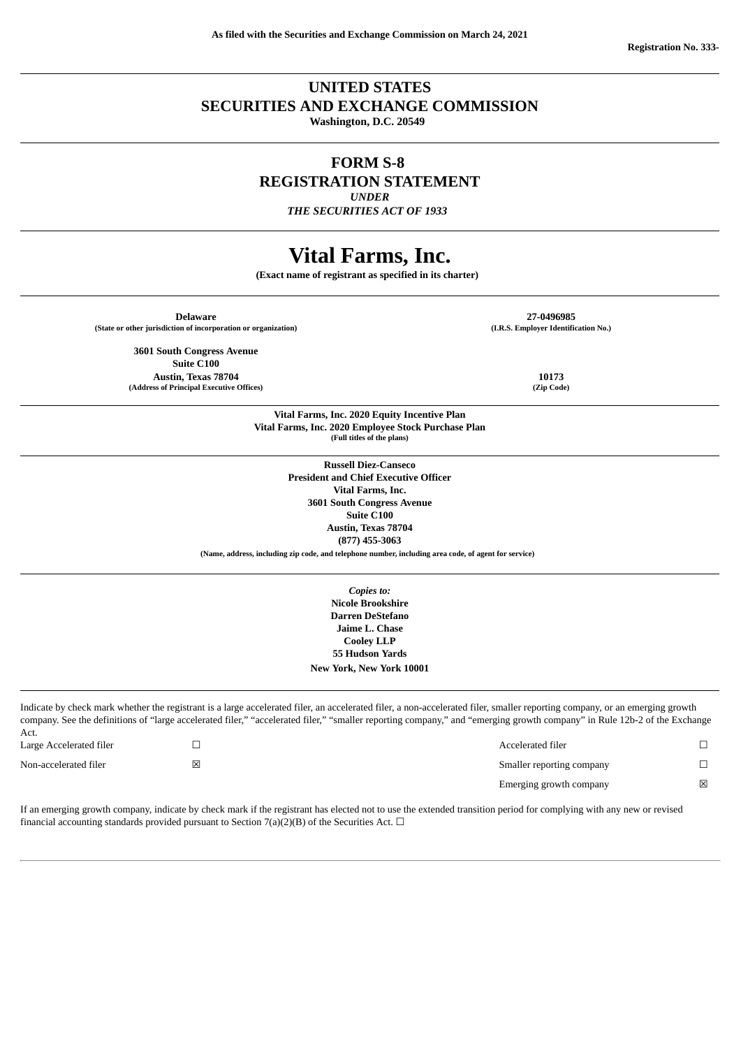## **UNITED STATES SECURITIES AND EXCHANGE COMMISSION**

**Washington, D.C. 20549**

# **FORM S-8 REGISTRATION STATEMENT**

*UNDER*

*THE SECURITIES ACT OF 1933*

# **Vital Farms, Inc.**

**(Exact name of registrant as specified in its charter)** 

|                         | <b>Delaware</b><br>(State or other jurisdiction of incorporation or organization) |                                                                                                      | 27-0496985<br>(I.R.S. Employer Identification No.)                                                                                                                          |        |
|-------------------------|-----------------------------------------------------------------------------------|------------------------------------------------------------------------------------------------------|-----------------------------------------------------------------------------------------------------------------------------------------------------------------------------|--------|
|                         | <b>3601 South Congress Avenue</b>                                                 |                                                                                                      |                                                                                                                                                                             |        |
|                         | <b>Suite C100</b>                                                                 |                                                                                                      |                                                                                                                                                                             |        |
|                         | Austin, Texas 78704                                                               |                                                                                                      | 10173                                                                                                                                                                       |        |
|                         | (Address of Principal Executive Offices)                                          |                                                                                                      | (Zip Code)                                                                                                                                                                  |        |
|                         |                                                                                   |                                                                                                      |                                                                                                                                                                             |        |
|                         |                                                                                   | Vital Farms, Inc. 2020 Equity Incentive Plan                                                         |                                                                                                                                                                             |        |
|                         |                                                                                   | Vital Farms, Inc. 2020 Employee Stock Purchase Plan                                                  |                                                                                                                                                                             |        |
|                         |                                                                                   | (Full titles of the plans)                                                                           |                                                                                                                                                                             |        |
|                         |                                                                                   |                                                                                                      |                                                                                                                                                                             |        |
|                         |                                                                                   | <b>Russell Diez-Canseco</b>                                                                          |                                                                                                                                                                             |        |
|                         |                                                                                   | <b>President and Chief Executive Officer</b>                                                         |                                                                                                                                                                             |        |
|                         |                                                                                   | Vital Farms, Inc.                                                                                    |                                                                                                                                                                             |        |
|                         |                                                                                   | <b>3601 South Congress Avenue</b>                                                                    |                                                                                                                                                                             |        |
|                         |                                                                                   | <b>Suite C100</b>                                                                                    |                                                                                                                                                                             |        |
|                         |                                                                                   | Austin, Texas 78704                                                                                  |                                                                                                                                                                             |        |
|                         |                                                                                   | $(877)$ 455-3063                                                                                     |                                                                                                                                                                             |        |
|                         |                                                                                   | (Name, address, including zip code, and telephone number, including area code, of agent for service) |                                                                                                                                                                             |        |
|                         |                                                                                   | Copies to:                                                                                           |                                                                                                                                                                             |        |
|                         |                                                                                   | <b>Nicole Brookshire</b>                                                                             |                                                                                                                                                                             |        |
|                         |                                                                                   | <b>Darren DeStefano</b>                                                                              |                                                                                                                                                                             |        |
|                         |                                                                                   | Jaime L. Chase                                                                                       |                                                                                                                                                                             |        |
|                         |                                                                                   | <b>Cooley LLP</b>                                                                                    |                                                                                                                                                                             |        |
|                         |                                                                                   | <b>55 Hudson Yards</b>                                                                               |                                                                                                                                                                             |        |
|                         |                                                                                   |                                                                                                      |                                                                                                                                                                             |        |
|                         |                                                                                   | New York, New York 10001                                                                             |                                                                                                                                                                             |        |
|                         |                                                                                   |                                                                                                      |                                                                                                                                                                             |        |
|                         |                                                                                   |                                                                                                      | Indicate by check mark whether the registrant is a large accelerated filer, an accelerated filer, a non-accelerated filer, smaller reporting company, or an emerging growth |        |
|                         |                                                                                   |                                                                                                      | company. See the definitions of "large accelerated filer," "accelerated filer," "smaller reporting company," and "emerging growth company" in Rule 12b-2 of the Exchange    |        |
| Act.                    |                                                                                   |                                                                                                      |                                                                                                                                                                             |        |
| Large Accelerated filer | $\Box$                                                                            |                                                                                                      | Accelerated filer                                                                                                                                                           | $\Box$ |
|                         |                                                                                   |                                                                                                      |                                                                                                                                                                             |        |

Non-accelerated filer **values values values values values Smaller reporting company** □

Act.

Emerging growth company  $\hfill\boxtimes$ 

If an emerging growth company, indicate by check mark if the registrant has elected not to use the extended transition period for complying with any new or revised financial accounting standards provided pursuant to Section 7(a)(2)(B) of the Securities Act.  $\Box$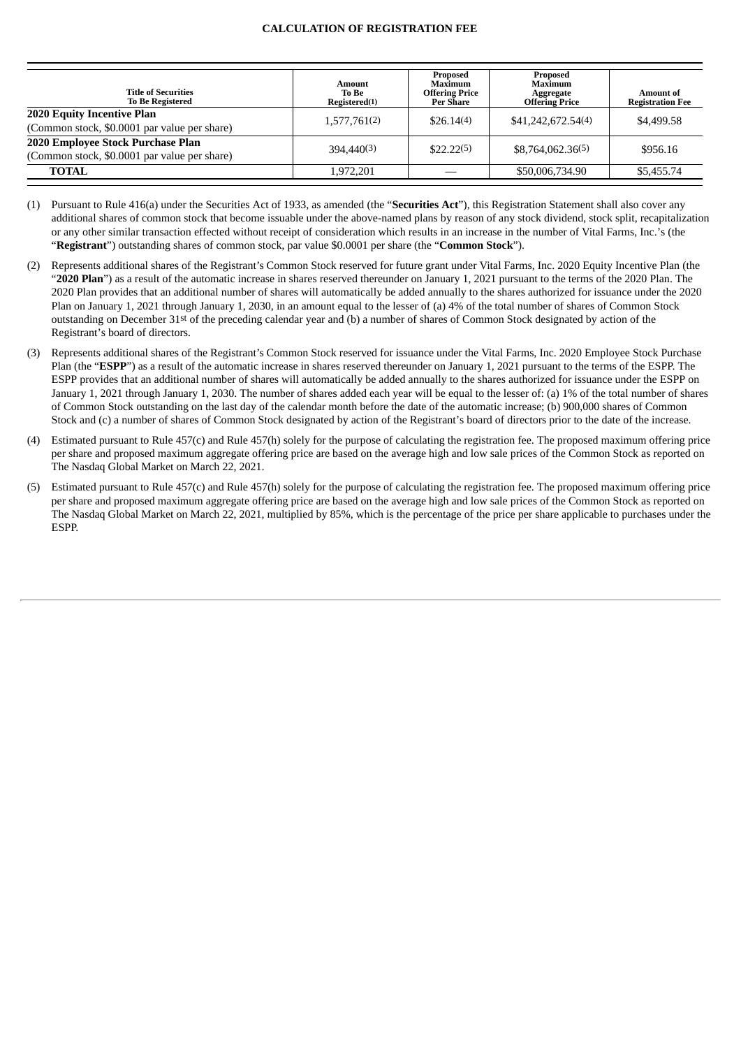#### **CALCULATION OF REGISTRATION FEE**

| <b>Title of Securities</b><br><b>To Be Registered</b>                             | Amount<br>To Be<br>Registered(1) | Proposed<br>Maximum<br><b>Offering Price</b><br>Per Share | Proposed<br>Maximum<br>Aggregate<br><b>Offering Price</b> | Amount of<br><b>Registration Fee</b> |
|-----------------------------------------------------------------------------------|----------------------------------|-----------------------------------------------------------|-----------------------------------------------------------|--------------------------------------|
| <b>2020 Equity Incentive Plan</b><br>(Common stock, \$0.0001 par value per share) | 1,577,761(2)                     | \$26.14(4)                                                | \$41,242,672.54(4)                                        | \$4,499.58                           |
| 2020 Employee Stock Purchase Plan<br>(Common stock, \$0.0001 par value per share) | 394,440(3)                       | \$22.22(5)                                                | \$8,764,062,36(5)                                         | \$956.16                             |
| <b>TOTAL</b>                                                                      | 1.972.201                        |                                                           | \$50,006,734.90                                           | \$5,455.74                           |

(1) Pursuant to Rule 416(a) under the Securities Act of 1933, as amended (the "**Securities Act**"), this Registration Statement shall also cover any additional shares of common stock that become issuable under the above-named plans by reason of any stock dividend, stock split, recapitalization or any other similar transaction effected without receipt of consideration which results in an increase in the number of Vital Farms, Inc.'s (the "**Registrant**") outstanding shares of common stock, par value \$0.0001 per share (the "**Common Stock**").

- (2) Represents additional shares of the Registrant's Common Stock reserved for future grant under Vital Farms, Inc. 2020 Equity Incentive Plan (the "**2020 Plan**") as a result of the automatic increase in shares reserved thereunder on January 1, 2021 pursuant to the terms of the 2020 Plan. The 2020 Plan provides that an additional number of shares will automatically be added annually to the shares authorized for issuance under the 2020 Plan on January 1, 2021 through January 1, 2030, in an amount equal to the lesser of (a) 4% of the total number of shares of Common Stock outstanding on December 31st of the preceding calendar year and (b) a number of shares of Common Stock designated by action of the Registrant's board of directors.
- (3) Represents additional shares of the Registrant's Common Stock reserved for issuance under the Vital Farms, Inc. 2020 Employee Stock Purchase Plan (the "**ESPP**") as a result of the automatic increase in shares reserved thereunder on January 1, 2021 pursuant to the terms of the ESPP. The ESPP provides that an additional number of shares will automatically be added annually to the shares authorized for issuance under the ESPP on January 1, 2021 through January 1, 2030. The number of shares added each year will be equal to the lesser of: (a) 1% of the total number of shares of Common Stock outstanding on the last day of the calendar month before the date of the automatic increase; (b) 900,000 shares of Common Stock and (c) a number of shares of Common Stock designated by action of the Registrant's board of directors prior to the date of the increase.
- (4) Estimated pursuant to Rule 457(c) and Rule 457(h) solely for the purpose of calculating the registration fee. The proposed maximum offering price per share and proposed maximum aggregate offering price are based on the average high and low sale prices of the Common Stock as reported on The Nasdaq Global Market on March 22, 2021.
- (5) Estimated pursuant to Rule 457(c) and Rule 457(h) solely for the purpose of calculating the registration fee. The proposed maximum offering price per share and proposed maximum aggregate offering price are based on the average high and low sale prices of the Common Stock as reported on The Nasdaq Global Market on March 22, 2021, multiplied by 85%, which is the percentage of the price per share applicable to purchases under the ESPP.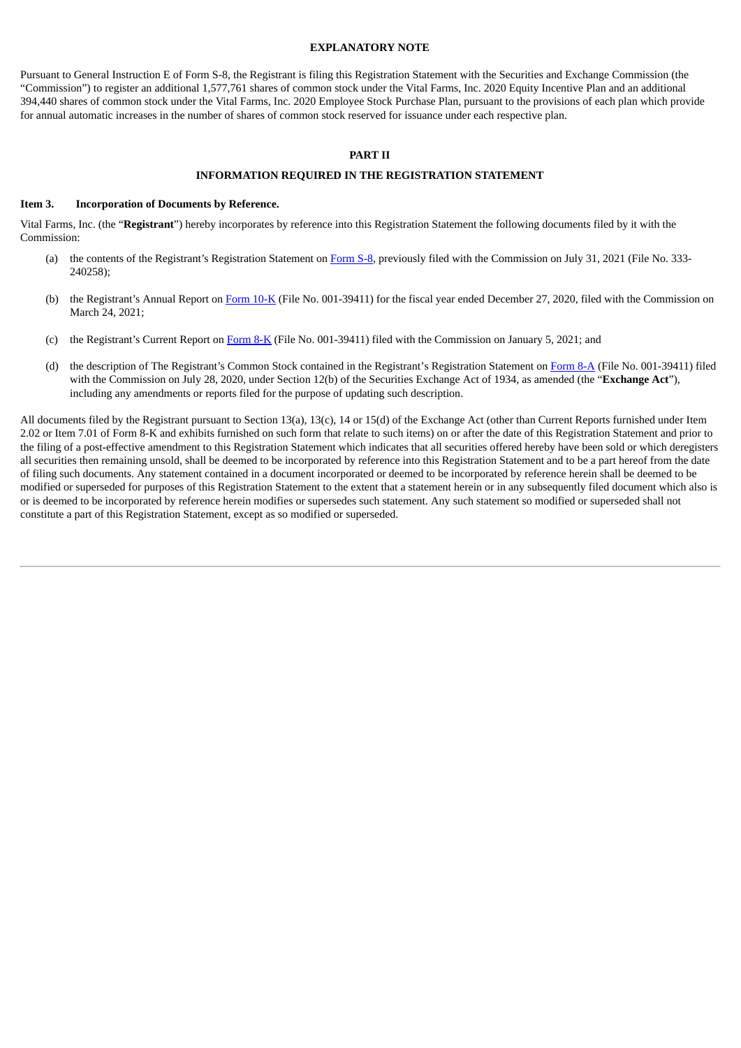#### **EXPLANATORY NOTE**

Pursuant to General Instruction E of Form S-8, the Registrant is filing this Registration Statement with the Securities and Exchange Commission (the "Commission") to register an additional 1,577,761 shares of common stock under the Vital Farms, Inc. 2020 Equity Incentive Plan and an additional 394,440 shares of common stock under the Vital Farms, Inc. 2020 Employee Stock Purchase Plan, pursuant to the provisions of each plan which provide for annual automatic increases in the number of shares of common stock reserved for issuance under each respective plan.

#### **PART II**

#### **INFORMATION REQUIRED IN THE REGISTRATION STATEMENT**

#### **Item 3. Incorporation of Documents by Reference.**

Vital Farms, Inc. (the "**Registrant**") hereby incorporates by reference into this Registration Statement the following documents filed by it with the Commission:

- (a) the contents of the Registrant's Registration Statement on [Form](http://www.sec.gov/Archives/edgar/data/1579733/000119312520206461/d94951ds8.htm) S-8, previously filed with the Commission on July 31, 2021 (File No. 333- 240258);
- (b) the Registrant's Annual Report on [Form](http://www.sec.gov/Archives/edgar/data/0001579733/000156459021014969/vitl-10k_20201227.htm) 10-K (File No. 001-39411) for the fiscal year ended December 27, 2020, filed with the Commission on March 24, 2021;
- (c) the Registrant's Current Report on [Form](http://www.sec.gov/Archives/edgar/data/1579733/000119312521001952/d92649d8k.htm) 8-K (File No. 001-39411) filed with the Commission on January 5, 2021; and
- (d) the description of The Registrant's Common Stock contained in the Registrant's Registration Statement on [Form](http://www.sec.gov/Archives/edgar/data/1579733/000119312520200971/d73239d8a12b.htm) 8-A (File No. 001-39411) filed with the Commission on July 28, 2020, under Section 12(b) of the Securities Exchange Act of 1934, as amended (the "**Exchange Act**"), including any amendments or reports filed for the purpose of updating such description.

All documents filed by the Registrant pursuant to Section 13(a), 13(c), 14 or 15(d) of the Exchange Act (other than Current Reports furnished under Item 2.02 or Item 7.01 of Form 8-K and exhibits furnished on such form that relate to such items) on or after the date of this Registration Statement and prior to the filing of a post-effective amendment to this Registration Statement which indicates that all securities offered hereby have been sold or which deregisters all securities then remaining unsold, shall be deemed to be incorporated by reference into this Registration Statement and to be a part hereof from the date of filing such documents. Any statement contained in a document incorporated or deemed to be incorporated by reference herein shall be deemed to be modified or superseded for purposes of this Registration Statement to the extent that a statement herein or in any subsequently filed document which also is or is deemed to be incorporated by reference herein modifies or supersedes such statement. Any such statement so modified or superseded shall not constitute a part of this Registration Statement, except as so modified or superseded.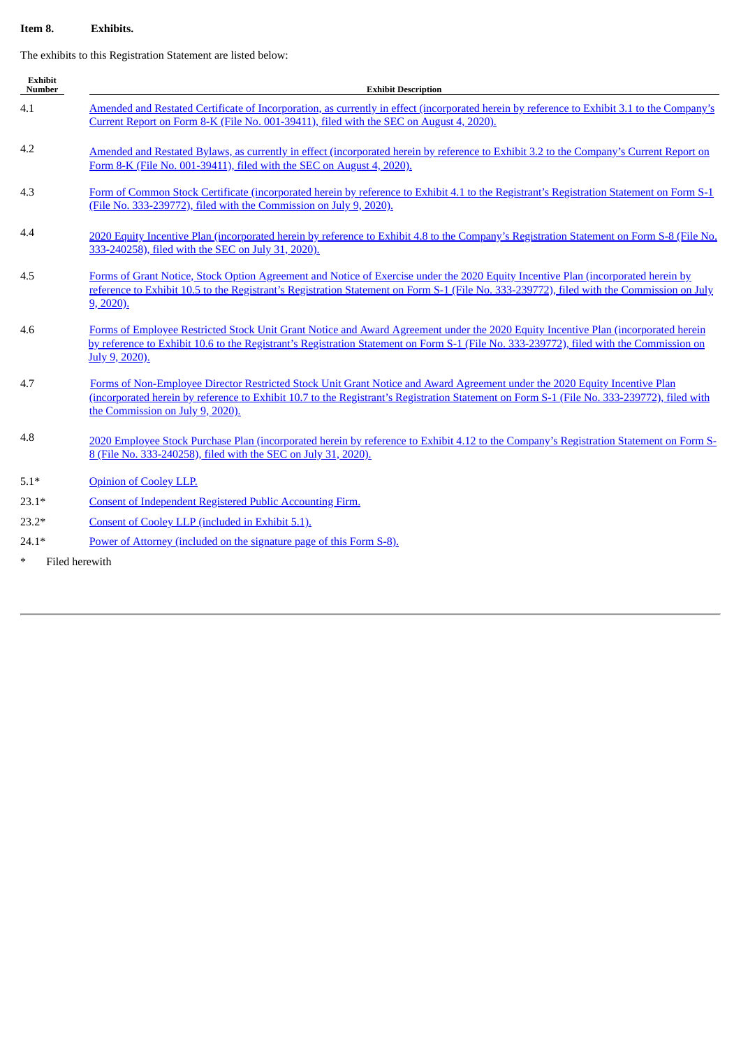### **Item 8. Exhibits.**

The exhibits to this Registration Statement are listed below:

| <b>Exhibit</b><br>Number | <b>Exhibit Description</b>                                                                                                                                                                                                                                                                                   |
|--------------------------|--------------------------------------------------------------------------------------------------------------------------------------------------------------------------------------------------------------------------------------------------------------------------------------------------------------|
| 4.1                      | Amended and Restated Certificate of Incorporation, as currently in effect (incorporated herein by reference to Exhibit 3.1 to the Company's<br>Current Report on Form 8-K (File No. 001-39411), filed with the SEC on August 4, 2020).                                                                       |
| 4.2                      | Amended and Restated Bylaws, as currently in effect (incorporated herein by reference to Exhibit 3.2 to the Company's Current Report on<br>Form 8-K (File No. 001-39411), filed with the SEC on August 4, 2020).                                                                                             |
| 4.3                      | Form of Common Stock Certificate (incorporated herein by reference to Exhibit 4.1 to the Registrant's Registration Statement on Form S-1<br>(File No. 333-239772), filed with the Commission on July 9, 2020).                                                                                               |
| 4.4                      | 2020 Equity Incentive Plan (incorporated herein by reference to Exhibit 4.8 to the Company's Registration Statement on Form S-8 (File No.<br>333-240258), filed with the SEC on July 31, 2020).                                                                                                              |
| 4.5                      | Forms of Grant Notice, Stock Option Agreement and Notice of Exercise under the 2020 Equity Incentive Plan (incorporated herein by<br>reference to Exhibit 10.5 to the Registrant's Registration Statement on Form S-1 (File No. 333-239772), filed with the Commission on July<br>$9, 2020$ ).               |
| 4.6                      | Forms of Employee Restricted Stock Unit Grant Notice and Award Agreement under the 2020 Equity Incentive Plan (incorporated herein<br>by reference to Exhibit 10.6 to the Registrant's Registration Statement on Form S-1 (File No. 333-239772), filed with the Commission on<br>July 9, 2020).              |
| 4.7                      | Forms of Non-Employee Director Restricted Stock Unit Grant Notice and Award Agreement under the 2020 Equity Incentive Plan<br>(incorporated herein by reference to Exhibit 10.7 to the Registrant's Registration Statement on Form S-1 (File No. 333-239772), filed with<br>the Commission on July 9, 2020). |
| 4.8                      | 2020 Employee Stock Purchase Plan (incorporated herein by reference to Exhibit 4.12 to the Company's Registration Statement on Form S-<br>8 (File No. 333-240258), filed with the SEC on July 31, 2020).                                                                                                     |
| $5.1*$                   | Opinion of Cooley LLP.                                                                                                                                                                                                                                                                                       |
| $23.1*$                  | <b>Consent of Independent Registered Public Accounting Firm.</b>                                                                                                                                                                                                                                             |
| $23.2*$                  | Consent of Cooley LLP (included in Exhibit 5.1).                                                                                                                                                                                                                                                             |
| $24.1*$                  | Power of Attorney (included on the signature page of this Form S-8).                                                                                                                                                                                                                                         |
| $\ast$                   | Filed herewith                                                                                                                                                                                                                                                                                               |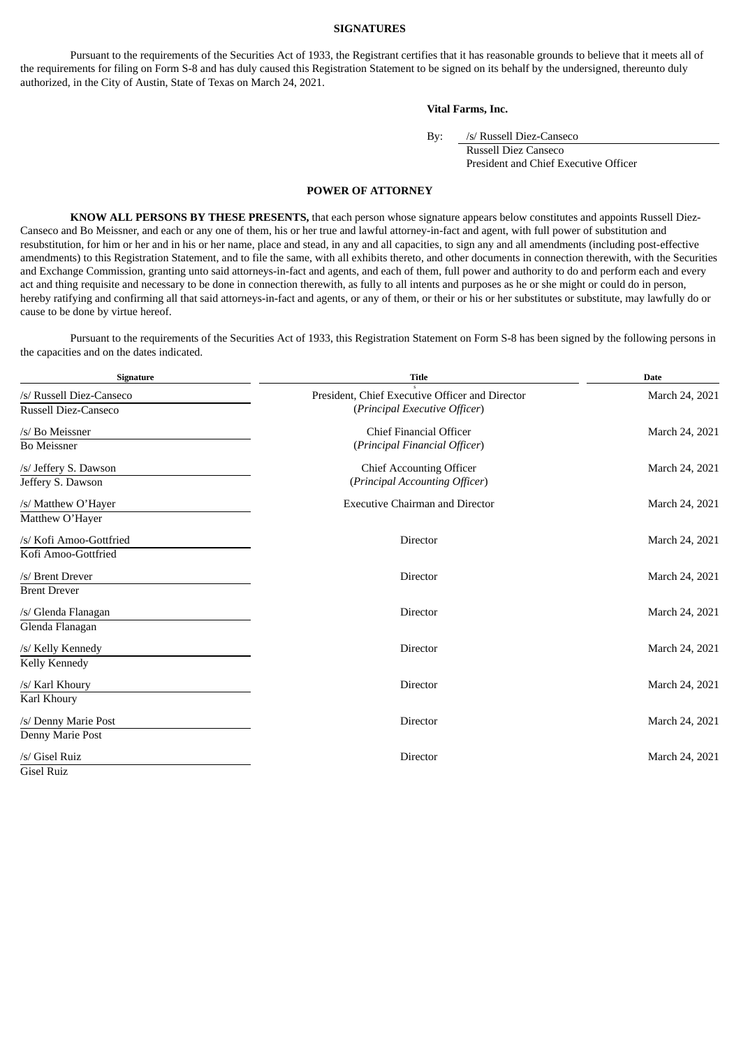#### **SIGNATURES**

Pursuant to the requirements of the Securities Act of 1933, the Registrant certifies that it has reasonable grounds to believe that it meets all of the requirements for filing on Form S-8 and has duly caused this Registration Statement to be signed on its behalf by the undersigned, thereunto duly authorized, in the City of Austin, State of Texas on March 24, 2021.

#### **Vital Farms, Inc.**

By: /s/ Russell Diez-Canseco

Russell Diez Canseco President and Chief Executive Officer

#### **POWER OF ATTORNEY**

<span id="page-4-0"></span>**KNOW ALL PERSONS BY THESE PRESENTS,** that each person whose signature appears below constitutes and appoints Russell Diez-Canseco and Bo Meissner, and each or any one of them, his or her true and lawful attorney-in-fact and agent, with full power of substitution and resubstitution, for him or her and in his or her name, place and stead, in any and all capacities, to sign any and all amendments (including post-effective amendments) to this Registration Statement, and to file the same, with all exhibits thereto, and other documents in connection therewith, with the Securities and Exchange Commission, granting unto said attorneys-in-fact and agents, and each of them, full power and authority to do and perform each and every act and thing requisite and necessary to be done in connection therewith, as fully to all intents and purposes as he or she might or could do in person, hereby ratifying and confirming all that said attorneys-in-fact and agents, or any of them, or their or his or her substitutes or substitute, may lawfully do or cause to be done by virtue hereof.

Pursuant to the requirements of the Securities Act of 1933, this Registration Statement on Form S-8 has been signed by the following persons in the capacities and on the dates indicated.

| <b>Signature</b>         | <b>Title</b>                                    | <b>Date</b>    |
|--------------------------|-------------------------------------------------|----------------|
| /s/ Russell Diez-Canseco | President, Chief Executive Officer and Director | March 24, 2021 |
| Russell Diez-Canseco     | (Principal Executive Officer)                   |                |
| /s/ Bo Meissner          | Chief Financial Officer                         | March 24, 2021 |
| <b>Bo Meissner</b>       | (Principal Financial Officer)                   |                |
| /s/ Jeffery S. Dawson    | <b>Chief Accounting Officer</b>                 | March 24, 2021 |
| Jeffery S. Dawson        | (Principal Accounting Officer)                  |                |
| /s/ Matthew O'Haver      | <b>Executive Chairman and Director</b>          | March 24, 2021 |
| Matthew O'Hayer          |                                                 |                |
| /s/ Kofi Amoo-Gottfried  | Director                                        | March 24, 2021 |
| Kofi Amoo-Gottfried      |                                                 |                |
| /s/ Brent Drever         | Director                                        | March 24, 2021 |
| <b>Brent Drever</b>      |                                                 |                |
| /s/ Glenda Flanagan      | Director                                        | March 24, 2021 |
| Glenda Flanagan          |                                                 |                |
| /s/ Kelly Kennedy        | Director                                        | March 24, 2021 |
| Kelly Kennedy            |                                                 |                |
| /s/ Karl Khoury          | Director                                        | March 24, 2021 |
| Karl Khoury              |                                                 |                |
| /s/ Denny Marie Post     | Director                                        | March 24, 2021 |
| Denny Marie Post         |                                                 |                |
| /s/ Gisel Ruiz           | Director                                        | March 24, 2021 |
| <b>Gisel Ruiz</b>        |                                                 |                |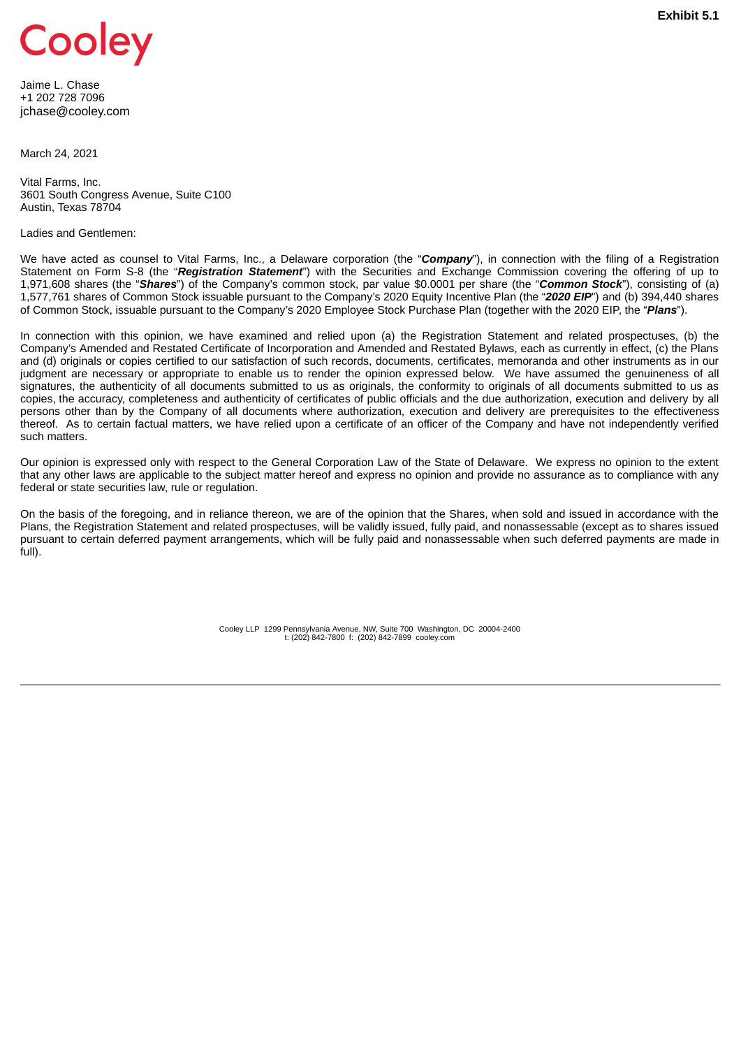<span id="page-5-0"></span>

Jaime L. Chase +1 202 728 7096 jchase@cooley.com

March 24, 2021

Vital Farms, Inc. 3601 South Congress Avenue, Suite C100 Austin, Texas 78704

Ladies and Gentlemen:

We have acted as counsel to Vital Farms, Inc., a Delaware corporation (the "*Company*"), in connection with the filing of a Registration Statement on Form S-8 (the "*Registration Statement*") with the Securities and Exchange Commission covering the offering of up to 1,971,608 shares (the "*Shares*") of the Company's common stock, par value \$0.0001 per share (the "*Common Stock*"), consisting of (a) 1,577,761 shares of Common Stock issuable pursuant to the Company's 2020 Equity Incentive Plan (the "*2020 EIP*") and (b) 394,440 shares of Common Stock, issuable pursuant to the Company's 2020 Employee Stock Purchase Plan (together with the 2020 EIP, the "*Plans*").

In connection with this opinion, we have examined and relied upon (a) the Registration Statement and related prospectuses, (b) the Company's Amended and Restated Certificate of Incorporation and Amended and Restated Bylaws, each as currently in effect, (c) the Plans and (d) originals or copies certified to our satisfaction of such records, documents, certificates, memoranda and other instruments as in our judgment are necessary or appropriate to enable us to render the opinion expressed below. We have assumed the genuineness of all signatures, the authenticity of all documents submitted to us as originals, the conformity to originals of all documents submitted to us as copies, the accuracy, completeness and authenticity of certificates of public officials and the due authorization, execution and delivery by all persons other than by the Company of all documents where authorization, execution and delivery are prerequisites to the effectiveness thereof. As to certain factual matters, we have relied upon a certificate of an officer of the Company and have not independently verified such matters.

Our opinion is expressed only with respect to the General Corporation Law of the State of Delaware. We express no opinion to the extent that any other laws are applicable to the subject matter hereof and express no opinion and provide no assurance as to compliance with any federal or state securities law, rule or regulation.

On the basis of the foregoing, and in reliance thereon, we are of the opinion that the Shares, when sold and issued in accordance with the Plans, the Registration Statement and related prospectuses, will be validly issued, fully paid, and nonassessable (except as to shares issued pursuant to certain deferred payment arrangements, which will be fully paid and nonassessable when such deferred payments are made in full).

> Cooley LLP 1299 Pennsylvania Avenue, NW, Suite 700 Washington, DC 20004-2400 t: (202) 842-7800 f: (202) 842-7899 cooley.com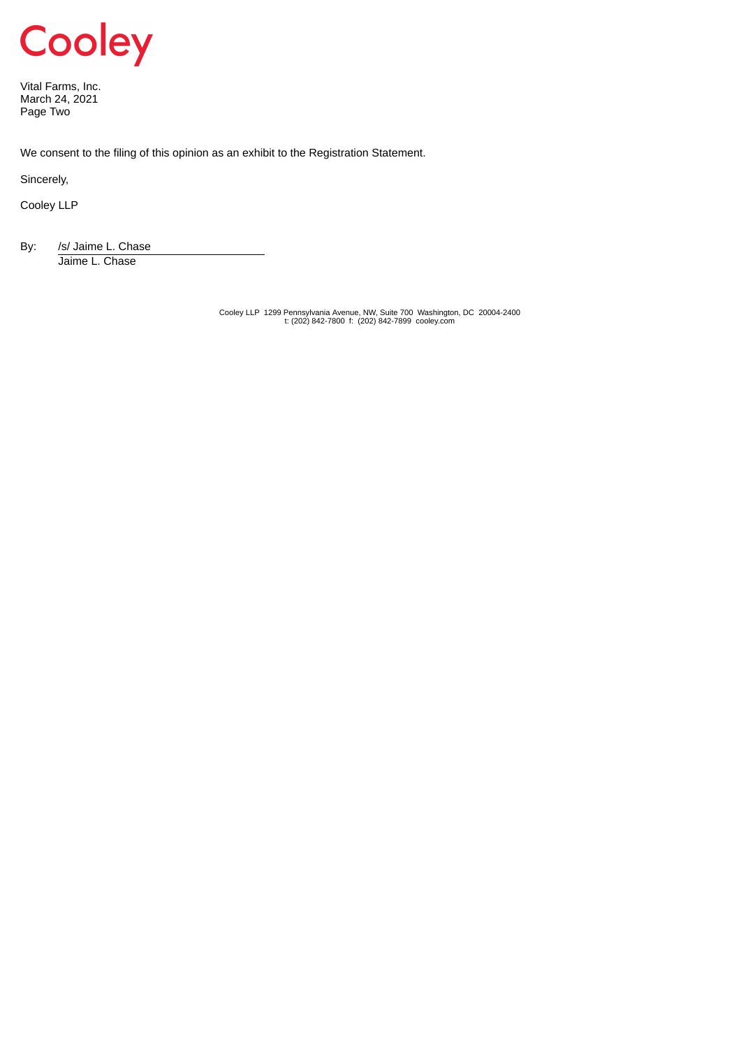

Vital Farms, Inc. March 24, 2021 Page Two

We consent to the filing of this opinion as an exhibit to the Registration Statement.

Sincerely,

Cooley LLP

By: /s/ Jaime L. Chase Jaime L. Chase

Cooley LLP 1299 Pennsylvania Avenue, NW, Suite 700 Washington, DC 20004-2400 t: (202) 842-7800 f: (202) 842-7899 cooley.com